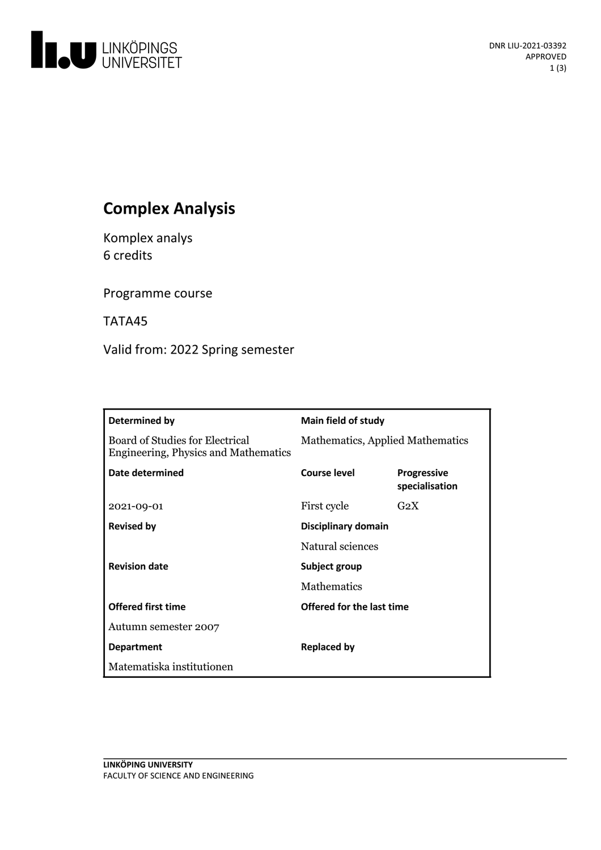

# **Complex Analysis**

Komplex analys 6 credits

Programme course

TATA45

Valid from: 2022 Spring semester

| Determined by                                                                  | <b>Main field of study</b>       |                                      |
|--------------------------------------------------------------------------------|----------------------------------|--------------------------------------|
| <b>Board of Studies for Electrical</b><br>Engineering, Physics and Mathematics | Mathematics, Applied Mathematics |                                      |
| Date determined                                                                | Course level                     | <b>Progressive</b><br>specialisation |
| 2021-09-01                                                                     | First cycle                      | $G_2X$                               |
| <b>Revised by</b>                                                              | Disciplinary domain              |                                      |
|                                                                                | Natural sciences                 |                                      |
| <b>Revision date</b>                                                           | Subject group                    |                                      |
|                                                                                | <b>Mathematics</b>               |                                      |
| <b>Offered first time</b>                                                      | Offered for the last time        |                                      |
| Autumn semester 2007                                                           |                                  |                                      |
| <b>Department</b>                                                              | <b>Replaced by</b>               |                                      |
| Matematiska institutionen                                                      |                                  |                                      |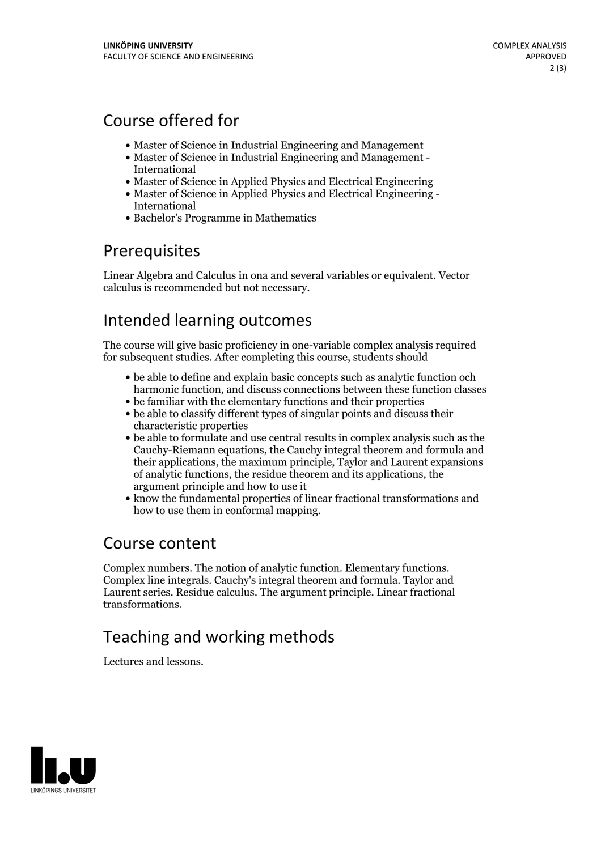# Course offered for

- Master of Science in Industrial Engineering and Management
- Master of Science in Industrial Engineering and Management International
- Master of Science in Applied Physics and Electrical Engineering
- Master of Science in Applied Physics and Electrical Engineering International
- Bachelor's Programme in Mathematics

## Prerequisites

Linear Algebra and Calculus in ona and several variables or equivalent. Vector calculus is recommended but not necessary.

# Intended learning outcomes

The course will give basic proficiency in one-variable complex analysis required for subsequent studies. After completing this course, students should

- be able to define and explain basic concepts such as analytic function och harmonic function, and discuss connections between these function classes
- be familiar with the elementary functions and their properties
- be able to classify different types of singular points and discuss their characteristic properties
- be able to formulate and use central results in complex analysis such as the Cauchy-Riemann equations, the Cauchy integral theorem and formula and their applications, the maximum principle,Taylor and Laurent expansions of analytic functions, the residue theorem and itsapplications, the argument principle and how to use it
- know the fundamental properties of linear fractional transformations and how to use them in conformal mapping.

### Course content

Complex numbers. The notion of analytic function. Elementary functions. Complex line integrals. Cauchy's integral theorem and formula. Taylor and Laurent series. Residue calculus. The argument principle. Linear fractional transformations.

# Teaching and working methods

Lectures and lessons.